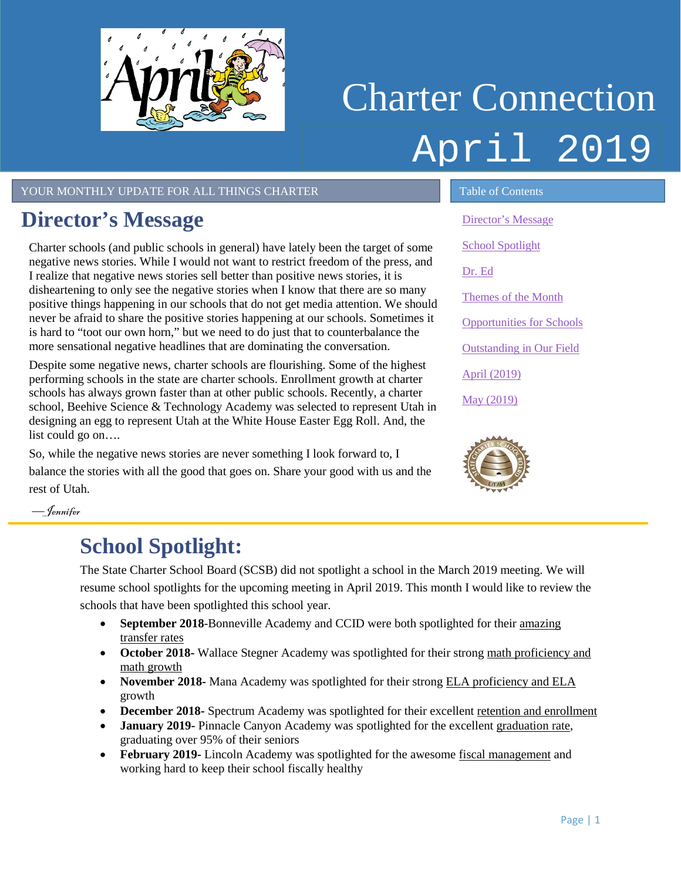<span id="page-0-1"></span>

# Charter Connection April 2019

YOUR MONTHLY UPDATE FOR ALL THINGS CHARTER TABLE 1 Table of Contents

### <span id="page-0-0"></span>**Director's Message**

Charter schools (and public schools in general) have lately been the target of some negative news stories. While I would not want to restrict freedom of the press, and I realize that negative news stories sell better than positive news stories, it is disheartening to only see the negative stories when I know that there are so many positive things happening in our schools that do not get media attention. We should never be afraid to share the positive stories happening at our schools. Sometimes it is hard to "toot our own horn," but we need to do just that to counterbalance the more sensational negative headlines that are dominating the conversation.

Despite some negative news, charter schools are flourishing. Some of the highest performing schools in the state are charter schools. Enrollment growth at charter schools has always grown faster than at other public schools. Recently, a charter school, Beehive Science & Technology Academy was selected to represent Utah in designing an egg to represent Utah at the White House Easter Egg Roll. And, the list could go on….

So, while the negative news stories are never something I look forward to, I balance the stories with all the good that goes on. Share your good with us and the rest of Utah.

[Director's Message](#page-0-0) [School Spotlight](#page-0-1) [Dr. Ed](#page-1-0) [Themes of the Month](#page-1-1) [Opportunities for Schools](#page-2-0)  [Outstanding in Our Field](#page-2-1) April [\(2019\)](#page-3-0) May [\(2019\)](#page-3-1)



––Jennifer

### **School Spotlight:**

The State Charter School Board (SCSB) did not spotlight a school in the March 2019 meeting. We will resume school spotlights for the upcoming meeting in April 2019. This month I would like to review the schools that have been spotlighted this school year.

- **September 2018-Bonneville Academy and CCID were both spotlighted for their amazing** transfer rates
- **October 2018-** Wallace Stegner Academy was spotlighted for their strong math proficiency and math growth
- **November 2018-** Mana Academy was spotlighted for their strong ELA proficiency and ELA growth
- **December 2018-** Spectrum Academy was spotlighted for their excellent retention and enrollment
- **January 2019-** Pinnacle Canyon Academy was spotlighted for the excellent graduation rate, graduating over 95% of their seniors
- **February 2019-** Lincoln Academy was spotlighted for the awesome fiscal management and working hard to keep their school fiscally healthy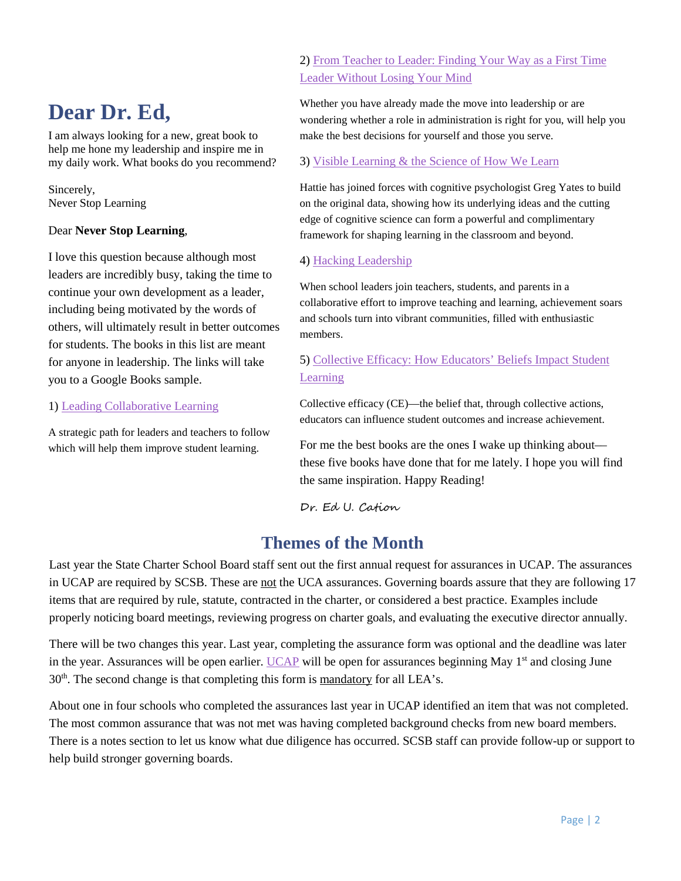### <span id="page-1-0"></span>**Dear Dr. Ed,**

I am always looking for a new, great book to help me hone my leadership and inspire me in my daily work. What books do you recommend?

Sincerely, Never Stop Learning

#### Dear **Never Stop Learning**,

I love this question because although most leaders are incredibly busy, taking the time to continue your own development as a leader, including being motivated by the words of others, will ultimately result in better outcomes for students. The books in this list are meant for anyone in leadership. The links will take you to a Google Books sample.

#### 1) [Leading Collaborative Learning](https://books.google.com/books?id=SXk1CwAAQBAJ&printsec=frontcover&dq=Leading+Collaborative+Learning&hl=en&sa=X&ved=0ahUKEwiI1JDk7_zgAhXCpJ4KHQnVBMEQ6AEIJzAA#v=onepage&q=Leading%20Collaborative%20Learning&f=false)

A strategic path for leaders and teachers to follow which will help them improve student learning.

#### 2) [From Teacher to Leader: Finding Your Way as a First Time](https://books.google.com/books?id=M3QpwQEACAAJ&dq=From+Teacher+to+Leader:+Finding+Your+Way+As+A+first+Time+Leader+Without+Losing+Your+Mind&hl=en&sa=X&ved=0ahUKEwixpZX87_zgAhXEsJ4KHUzBD-IQ6AEIJzAA)  [Leader Without Losing Your Mind](https://books.google.com/books?id=M3QpwQEACAAJ&dq=From+Teacher+to+Leader:+Finding+Your+Way+As+A+first+Time+Leader+Without+Losing+Your+Mind&hl=en&sa=X&ved=0ahUKEwixpZX87_zgAhXEsJ4KHUzBD-IQ6AEIJzAA)

Whether you have already made the move into leadership or are wondering whether a role in administration is right for you, will help you make the best decisions for yourself and those you serve.

#### 3) [Visible Learning & the Science of How We Learn](https://books.google.com/books?id=VdhAAQAAQBAJ&printsec=frontcover&dq=visible+learning&hl=en&sa=X&ved=0ahUKEwjLqtHr8PzgAhXJi54KHZUdDN0Q6AEIOjAD#v=onepage&q=visible%20learning&f=false)

Hattie has joined forces with cognitive psychologist Greg Yates to build on the original data, showing how its underlying ideas and the cutting edge of cognitive science can form a powerful and complimentary framework for shaping learning in the classroom and beyond.

#### 4) [Hacking Leadership](https://books.google.com/books?id=mizEAQAACAAJ&dq=Hacking+Leadership&hl=en&sa=X&ved=0ahUKEwjQqd-W8vzgAhV3HDQIHZLoBBQQ6AEIJzAA)

When school leaders join teachers, students, and parents in a collaborative effort to improve teaching and learning, achievement soars and schools turn into vibrant communities, filled with enthusiastic members.

#### 5) [Collective Efficacy: How Educators' Beliefs Impact Student](https://books.google.com/books?id=kLpRDQAAQBAJ&dq=Collective+Efficacy:+How+Educators%E2%80%99+Beliefs+Impact+Student+Learning&source=gbs_navlinks_s)  [Learning](https://books.google.com/books?id=kLpRDQAAQBAJ&dq=Collective+Efficacy:+How+Educators%E2%80%99+Beliefs+Impact+Student+Learning&source=gbs_navlinks_s)

Collective efficacy (CE)—the belief that, through collective actions, educators can influence student outcomes and increase achievement.

For me the best books are the ones I wake up thinking about these five books have done that for me lately. I hope you will find the same inspiration. Happy Reading!

Dr. Ed U. Cation

#### **Themes of the Month**

<span id="page-1-1"></span>Last year the State Charter School Board staff sent out the first annual request for assurances in UCAP. The assurances in UCAP are required by SCSB. These are not the UCA assurances. Governing boards assure that they are following 17 items that are required by rule, statute, contracted in the charter, or considered a best practice. Examples include properly noticing board meetings, reviewing progress on charter goals, and evaluating the executive director annually.

There will be two changes this year. Last year, completing the assurance form was optional and the deadline was later in the year. Assurances will be open earlier. [UCAP](https://ucap.schools.utah.gov/Account/Login) will be open for assurances beginning May 1<sup>st</sup> and closing June  $30<sup>th</sup>$ . The second change is that completing this form is <u>mandatory</u> for all LEA's.

About one in four schools who completed the assurances last year in UCAP identified an item that was not completed. The most common assurance that was not met was having completed background checks from new board members. There is a notes section to let us know what due diligence has occurred. SCSB staff can provide follow-up or support to help build stronger governing boards.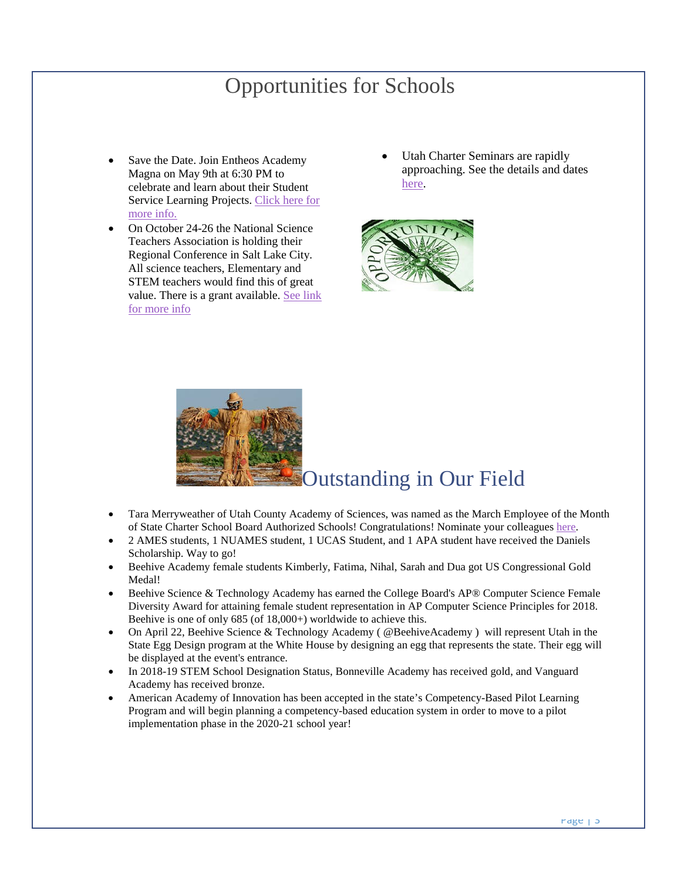### Opportunities for Schools

- <span id="page-2-0"></span>Save the Date. Join Entheos Academy Magna on May 9th at 6:30 PM to celebrate and learn about their Student Service Learning Projects. [Click here for](https://twitter.com/UtahSCSB/status/1107730668681904139)  [more info.](https://twitter.com/UtahSCSB/status/1107730668681904139)
- On October 24-26 the National Science Teachers Association is holding their Regional Conference in Salt Lake City. All science teachers, Elementary and STEM teachers would find this of great value. There is a grant available. [See link](https://twitter.com/UtahSCSB/status/1108820864244555776)  [for more info](https://twitter.com/UtahSCSB/status/1108820864244555776)
- Utah Charter Seminars are rapidly approaching. See the details and dates [here.](https://twitter.com/UtahSCSB/status/1088831561141768193)



<span id="page-2-1"></span>

- Tara Merryweather of Utah County Academy of Sciences, was named as the March Employee of the Month of State Charter School Board Authorized Schools! Congratulations! Nominate your colleague[s here.](https://docs.google.com/forms/d/e/1FAIpQLSdCs8ICTgo8UzwV7nFe0HiogaRQhfHtxc9YpqXcNvC1nuT56g/viewform?usp=sf_link)
- 2 AMES students, 1 NUAMES student, 1 UCAS Student, and 1 APA student have received the Daniels Scholarship. Way to go!
- Beehive Academy female students Kimberly, Fatima, Nihal, Sarah and Dua got US Congressional Gold Medal!
- Beehive Science & Technology Academy has earned the College Board's AP® Computer Science Female Diversity Award for attaining female student representation in AP Computer Science Principles for 2018. Beehive is one of only 685 (of 18,000+) worldwide to achieve this.
- On April 22, Beehive Science & Technology Academy ( @BeehiveAcademy ) will represent Utah in the State Egg Design program at the White House by designing an egg that represents the state. Their egg will be displayed at the event's entrance.
- In 2018-19 STEM School Designation Status, Bonneville Academy has received gold, and Vanguard Academy has received bronze.
- <span id="page-2-2"></span>• American Academy of Innovation has been accepted in the state's Competency-Based Pilot Learning Program and will begin planning a competency-based education system in order to move to a pilot implementation phase in the 2020-21 school year!